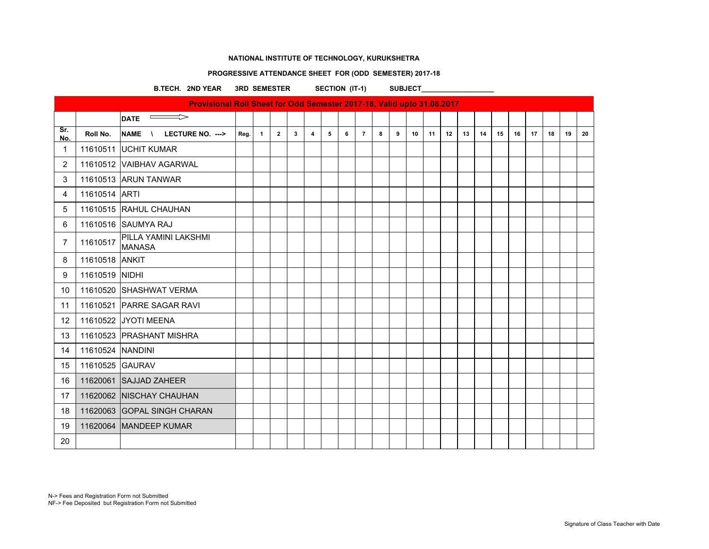#### **PROGRESSIVE ATTENDANCE SHEET FOR (ODD SEMESTER) 2017-18**

B.TECH. 2ND YEAR 3RD SEMESTER SECTION (IT-1) SUBJECT\_\_\_\_\_\_\_\_\_\_\_\_\_\_\_\_\_\_\_\_\_\_\_\_\_\_\_\_

| Provisional Roll Sheet for Odd Semester 2017-18, Valid upto 31.08.2017 |                  |                                        |      |                |                |              |                |   |   |                |   |   |    |    |    |    |    |    |    |    |    |    |    |
|------------------------------------------------------------------------|------------------|----------------------------------------|------|----------------|----------------|--------------|----------------|---|---|----------------|---|---|----|----|----|----|----|----|----|----|----|----|----|
|                                                                        |                  | $\Rightarrow$<br>DATE <sup>-</sup>     |      |                |                |              |                |   |   |                |   |   |    |    |    |    |    |    |    |    |    |    |    |
| Sr.<br>No.                                                             | Roll No.         | NAME \ LECTURE NO. --->                | Reg. | $\overline{1}$ | $\overline{2}$ | $\mathbf{3}$ | $\overline{4}$ | 5 | 6 | $\overline{7}$ | 8 | 9 | 10 | 11 | 12 | 13 | 14 | 15 | 16 | 17 | 18 | 19 | 20 |
| $\mathbf{1}$                                                           |                  | 11610511 UCHIT KUMAR                   |      |                |                |              |                |   |   |                |   |   |    |    |    |    |    |    |    |    |    |    |    |
| $\overline{2}$                                                         |                  | 11610512 VAIBHAV AGARWAL               |      |                |                |              |                |   |   |                |   |   |    |    |    |    |    |    |    |    |    |    |    |
| 3                                                                      |                  | 11610513 ARUN TANWAR                   |      |                |                |              |                |   |   |                |   |   |    |    |    |    |    |    |    |    |    |    |    |
| $\overline{4}$                                                         | 11610514 ARTI    |                                        |      |                |                |              |                |   |   |                |   |   |    |    |    |    |    |    |    |    |    |    |    |
| 5                                                                      |                  | 11610515 RAHUL CHAUHAN                 |      |                |                |              |                |   |   |                |   |   |    |    |    |    |    |    |    |    |    |    |    |
| 6                                                                      |                  | 11610516 SAUMYA RAJ                    |      |                |                |              |                |   |   |                |   |   |    |    |    |    |    |    |    |    |    |    |    |
| $\overline{7}$                                                         | 11610517         | İPILLA YAMINI LAKSHMI<br><b>MANASA</b> |      |                |                |              |                |   |   |                |   |   |    |    |    |    |    |    |    |    |    |    |    |
| 8                                                                      | 11610518 ANKIT   |                                        |      |                |                |              |                |   |   |                |   |   |    |    |    |    |    |    |    |    |    |    |    |
| 9                                                                      | 11610519 NIDHI   |                                        |      |                |                |              |                |   |   |                |   |   |    |    |    |    |    |    |    |    |    |    |    |
| 10                                                                     |                  | 11610520 SHASHWAT VERMA                |      |                |                |              |                |   |   |                |   |   |    |    |    |    |    |    |    |    |    |    |    |
| 11                                                                     |                  | 11610521 PARRE SAGAR RAVI              |      |                |                |              |                |   |   |                |   |   |    |    |    |    |    |    |    |    |    |    |    |
| 12                                                                     |                  | 11610522 JYOTI MEENA                   |      |                |                |              |                |   |   |                |   |   |    |    |    |    |    |    |    |    |    |    |    |
| 13                                                                     |                  | 11610523 PRASHANT MISHRA               |      |                |                |              |                |   |   |                |   |   |    |    |    |    |    |    |    |    |    |    |    |
| 14                                                                     | 11610524 NANDINI |                                        |      |                |                |              |                |   |   |                |   |   |    |    |    |    |    |    |    |    |    |    |    |
| 15                                                                     | 11610525 GAURAV  |                                        |      |                |                |              |                |   |   |                |   |   |    |    |    |    |    |    |    |    |    |    |    |
| 16                                                                     |                  | 11620061 SAJJAD ZAHEER                 |      |                |                |              |                |   |   |                |   |   |    |    |    |    |    |    |    |    |    |    |    |
| 17                                                                     |                  | 11620062 NISCHAY CHAUHAN               |      |                |                |              |                |   |   |                |   |   |    |    |    |    |    |    |    |    |    |    |    |
| 18                                                                     |                  | 11620063 GOPAL SINGH CHARAN            |      |                |                |              |                |   |   |                |   |   |    |    |    |    |    |    |    |    |    |    |    |
| 19                                                                     |                  | 11620064 MANDEEP KUMAR                 |      |                |                |              |                |   |   |                |   |   |    |    |    |    |    |    |    |    |    |    |    |
| 20                                                                     |                  |                                        |      |                |                |              |                |   |   |                |   |   |    |    |    |    |    |    |    |    |    |    |    |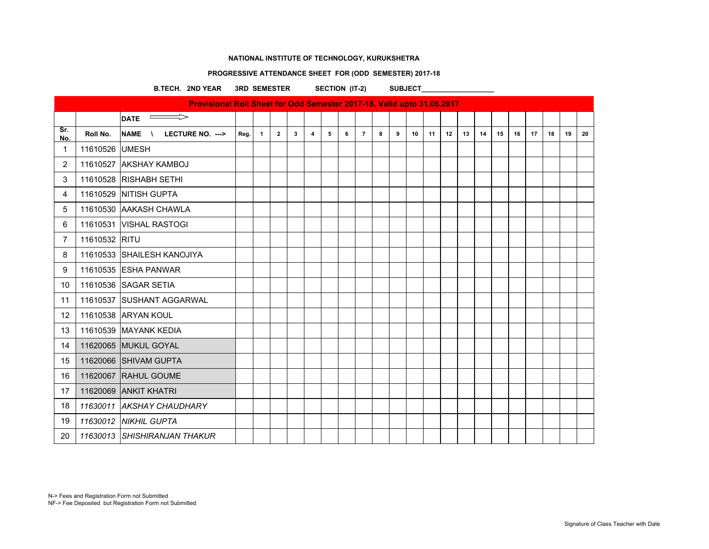### **PROGRESSIVE ATTENDANCE SHEET FOR (ODD SEMESTER) 2017-18**

B.TECH. 2ND YEAR 3RD SEMESTER SECTION (IT-2) SUBJECT\_\_\_\_\_\_\_\_\_\_\_\_\_\_\_\_\_\_\_\_\_\_\_\_\_\_\_\_

| Provisional Roll Sheet for Odd Semester 2017-18, Valid upto 31.08.2017<br>$\Rightarrow$<br>$\overline{\phantom{a}}$ |                |                              |      |              |                |                         |                         |   |   |                |   |   |    |    |    |    |    |    |    |    |    |    |    |
|---------------------------------------------------------------------------------------------------------------------|----------------|------------------------------|------|--------------|----------------|-------------------------|-------------------------|---|---|----------------|---|---|----|----|----|----|----|----|----|----|----|----|----|
|                                                                                                                     |                | <b>DATE</b>                  |      |              |                |                         |                         |   |   |                |   |   |    |    |    |    |    |    |    |    |    |    |    |
| Sr.<br>No.                                                                                                          | Roll No.       | NAME \<br>LECTURE NO. --->   | Reg. | $\mathbf{1}$ | $\overline{2}$ | $\overline{\mathbf{3}}$ | $\overline{\mathbf{4}}$ | 5 | 6 | $\overline{7}$ | 8 | 9 | 10 | 11 | 12 | 13 | 14 | 15 | 16 | 17 | 18 | 19 | 20 |
| $\mathbf{1}$                                                                                                        | 11610526 UMESH |                              |      |              |                |                         |                         |   |   |                |   |   |    |    |    |    |    |    |    |    |    |    |    |
| $\overline{2}$                                                                                                      |                | 11610527 AKSHAY KAMBOJ       |      |              |                |                         |                         |   |   |                |   |   |    |    |    |    |    |    |    |    |    |    |    |
| 3                                                                                                                   |                | 11610528 RISHABH SETHI       |      |              |                |                         |                         |   |   |                |   |   |    |    |    |    |    |    |    |    |    |    |    |
| 4                                                                                                                   |                | 11610529 NITISH GUPTA        |      |              |                |                         |                         |   |   |                |   |   |    |    |    |    |    |    |    |    |    |    |    |
| 5                                                                                                                   |                | 11610530 AAKASH CHAWLA       |      |              |                |                         |                         |   |   |                |   |   |    |    |    |    |    |    |    |    |    |    |    |
| 6                                                                                                                   |                | 11610531 VISHAL RASTOGI      |      |              |                |                         |                         |   |   |                |   |   |    |    |    |    |    |    |    |    |    |    |    |
| $\overline{7}$                                                                                                      | 11610532 RITU  |                              |      |              |                |                         |                         |   |   |                |   |   |    |    |    |    |    |    |    |    |    |    |    |
| 8                                                                                                                   |                | 11610533 SHAILESH KANOJIYA   |      |              |                |                         |                         |   |   |                |   |   |    |    |    |    |    |    |    |    |    |    |    |
| 9                                                                                                                   |                | 11610535 ESHA PANWAR         |      |              |                |                         |                         |   |   |                |   |   |    |    |    |    |    |    |    |    |    |    |    |
| 10                                                                                                                  |                | 11610536 SAGAR SETIA         |      |              |                |                         |                         |   |   |                |   |   |    |    |    |    |    |    |    |    |    |    |    |
| 11                                                                                                                  |                | 11610537 SUSHANT AGGARWAL    |      |              |                |                         |                         |   |   |                |   |   |    |    |    |    |    |    |    |    |    |    |    |
| $12 \overline{ }$                                                                                                   |                | 11610538 ARYAN KOUL          |      |              |                |                         |                         |   |   |                |   |   |    |    |    |    |    |    |    |    |    |    |    |
| 13                                                                                                                  |                | 11610539 MAYANK KEDIA        |      |              |                |                         |                         |   |   |                |   |   |    |    |    |    |    |    |    |    |    |    |    |
| 14                                                                                                                  |                | 11620065 MUKUL GOYAL         |      |              |                |                         |                         |   |   |                |   |   |    |    |    |    |    |    |    |    |    |    |    |
| 15                                                                                                                  |                | 11620066 SHIVAM GUPTA        |      |              |                |                         |                         |   |   |                |   |   |    |    |    |    |    |    |    |    |    |    |    |
| 16                                                                                                                  |                | 11620067 RAHUL GOUME         |      |              |                |                         |                         |   |   |                |   |   |    |    |    |    |    |    |    |    |    |    |    |
| 17                                                                                                                  |                | 11620069 ANKIT KHATRI        |      |              |                |                         |                         |   |   |                |   |   |    |    |    |    |    |    |    |    |    |    |    |
| 18                                                                                                                  |                | 11630011 AKSHAY CHAUDHARY    |      |              |                |                         |                         |   |   |                |   |   |    |    |    |    |    |    |    |    |    |    |    |
| 19                                                                                                                  |                | 11630012 NIKHIL GUPTA        |      |              |                |                         |                         |   |   |                |   |   |    |    |    |    |    |    |    |    |    |    |    |
| 20                                                                                                                  |                | 11630013 SHISHIRANJAN THAKUR |      |              |                |                         |                         |   |   |                |   |   |    |    |    |    |    |    |    |    |    |    |    |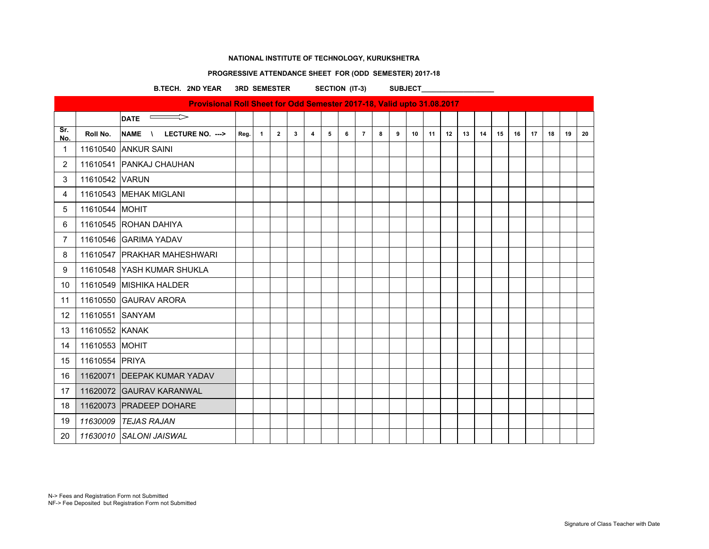### **PROGRESSIVE ATTENDANCE SHEET FOR (ODD SEMESTER) 2017-18**

B.TECH. 2ND YEAR 3RD SEMESTER SECTION (IT-3) SUBJECT\_\_\_\_\_\_\_\_\_\_\_\_\_\_\_\_\_\_\_\_\_\_\_\_\_\_\_\_

| Provisional Roll Sheet for Odd Semester 2017-18, Valid upto 31.08.2017 |                 |                               |      |              |                |              |                |   |   |                |   |   |    |    |    |    |    |    |    |    |    |    |    |
|------------------------------------------------------------------------|-----------------|-------------------------------|------|--------------|----------------|--------------|----------------|---|---|----------------|---|---|----|----|----|----|----|----|----|----|----|----|----|
|                                                                        |                 | $\overline{\phantom{0}}$ DATE |      |              |                |              |                |   |   |                |   |   |    |    |    |    |    |    |    |    |    |    |    |
| Sr.<br>No.                                                             | Roll No.        | NAME \<br>LECTURE NO. --->    | Reg. | $\mathbf{1}$ | $\overline{2}$ | $\mathbf{3}$ | $\overline{4}$ | 5 | 6 | $\overline{7}$ | 8 | 9 | 10 | 11 | 12 | 13 | 14 | 15 | 16 | 17 | 18 | 19 | 20 |
| $\mathbf{1}$                                                           |                 | 11610540 ANKUR SAINI          |      |              |                |              |                |   |   |                |   |   |    |    |    |    |    |    |    |    |    |    |    |
| $\overline{2}$                                                         |                 | 11610541 PANKAJ CHAUHAN       |      |              |                |              |                |   |   |                |   |   |    |    |    |    |    |    |    |    |    |    |    |
| 3                                                                      | 11610542 VARUN  |                               |      |              |                |              |                |   |   |                |   |   |    |    |    |    |    |    |    |    |    |    |    |
| 4                                                                      |                 | 11610543 MEHAK MIGLANI        |      |              |                |              |                |   |   |                |   |   |    |    |    |    |    |    |    |    |    |    |    |
| 5                                                                      | 11610544 MOHIT  |                               |      |              |                |              |                |   |   |                |   |   |    |    |    |    |    |    |    |    |    |    |    |
| 6                                                                      |                 | 11610545 ROHAN DAHIYA         |      |              |                |              |                |   |   |                |   |   |    |    |    |    |    |    |    |    |    |    |    |
| $\overline{7}$                                                         |                 | 11610546 GARIMA YADAV         |      |              |                |              |                |   |   |                |   |   |    |    |    |    |    |    |    |    |    |    |    |
| 8                                                                      |                 | 11610547 PRAKHAR MAHESHWARI   |      |              |                |              |                |   |   |                |   |   |    |    |    |    |    |    |    |    |    |    |    |
| 9                                                                      |                 | 11610548 YASH KUMAR SHUKLA    |      |              |                |              |                |   |   |                |   |   |    |    |    |    |    |    |    |    |    |    |    |
| 10                                                                     |                 | 11610549 MISHIKA HALDER       |      |              |                |              |                |   |   |                |   |   |    |    |    |    |    |    |    |    |    |    |    |
| 11                                                                     |                 | 11610550 GAURAV ARORA         |      |              |                |              |                |   |   |                |   |   |    |    |    |    |    |    |    |    |    |    |    |
| 12                                                                     | 11610551 SANYAM |                               |      |              |                |              |                |   |   |                |   |   |    |    |    |    |    |    |    |    |    |    |    |
| 13                                                                     | 11610552 KANAK  |                               |      |              |                |              |                |   |   |                |   |   |    |    |    |    |    |    |    |    |    |    |    |
| 14                                                                     | 11610553 MOHIT  |                               |      |              |                |              |                |   |   |                |   |   |    |    |    |    |    |    |    |    |    |    |    |
| 15                                                                     | 11610554 PRIYA  |                               |      |              |                |              |                |   |   |                |   |   |    |    |    |    |    |    |    |    |    |    |    |
| 16                                                                     |                 | 11620071 DEEPAK KUMAR YADAV   |      |              |                |              |                |   |   |                |   |   |    |    |    |    |    |    |    |    |    |    |    |
| 17                                                                     |                 | 11620072 GAURAV KARANWAL      |      |              |                |              |                |   |   |                |   |   |    |    |    |    |    |    |    |    |    |    |    |
| 18                                                                     |                 | 11620073 PRADEEP DOHARE       |      |              |                |              |                |   |   |                |   |   |    |    |    |    |    |    |    |    |    |    |    |
| 19                                                                     |                 | 11630009 TEJAS RAJAN          |      |              |                |              |                |   |   |                |   |   |    |    |    |    |    |    |    |    |    |    |    |
| 20                                                                     |                 | 11630010 SALONI JAISWAL       |      |              |                |              |                |   |   |                |   |   |    |    |    |    |    |    |    |    |    |    |    |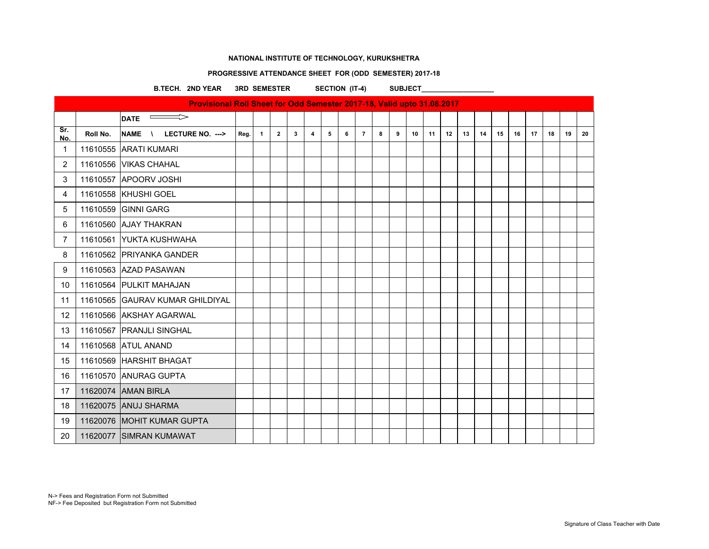### **PROGRESSIVE ATTENDANCE SHEET FOR (ODD SEMESTER) 2017-18**

B.TECH. 2ND YEAR 3RD SEMESTER SECTION (IT-4) SUBJECT\_\_\_\_\_\_\_\_\_\_\_\_\_\_\_\_\_\_\_\_\_\_\_\_\_\_\_\_

| Provisional Roll Sheet for Odd Semester 2017-18, Valid upto 31.08.2017 |          |                                              |      |                |              |   |                         |   |   |                |   |   |    |    |    |    |    |    |    |    |    |    |    |
|------------------------------------------------------------------------|----------|----------------------------------------------|------|----------------|--------------|---|-------------------------|---|---|----------------|---|---|----|----|----|----|----|----|----|----|----|----|----|
|                                                                        |          | $\Rightarrow$<br>$\equiv$<br><b>DATE</b>     |      |                |              |   |                         |   |   |                |   |   |    |    |    |    |    |    |    |    |    |    |    |
| Sr.<br>No.                                                             | Roll No. | <b>NAME</b><br>LECTURE NO. ---><br>$\lambda$ | Reg. | $\overline{1}$ | $\mathbf{2}$ | 3 | $\overline{\mathbf{4}}$ | 5 | 6 | $\overline{7}$ | 8 | 9 | 10 | 11 | 12 | 13 | 14 | 15 | 16 | 17 | 18 | 19 | 20 |
| 1                                                                      |          | 11610555 ARATI KUMARI                        |      |                |              |   |                         |   |   |                |   |   |    |    |    |    |    |    |    |    |    |    |    |
| $\overline{2}$                                                         |          | 11610556 VIKAS CHAHAL                        |      |                |              |   |                         |   |   |                |   |   |    |    |    |    |    |    |    |    |    |    |    |
| 3                                                                      |          | 11610557 APOORV JOSHI                        |      |                |              |   |                         |   |   |                |   |   |    |    |    |    |    |    |    |    |    |    |    |
| 4                                                                      |          | 11610558 KHUSHI GOEL                         |      |                |              |   |                         |   |   |                |   |   |    |    |    |    |    |    |    |    |    |    |    |
| 5                                                                      | 11610559 | <b>GINNI GARG</b>                            |      |                |              |   |                         |   |   |                |   |   |    |    |    |    |    |    |    |    |    |    |    |
| 6                                                                      |          | 11610560 AJAY THAKRAN                        |      |                |              |   |                         |   |   |                |   |   |    |    |    |    |    |    |    |    |    |    |    |
| $\overline{7}$                                                         |          | 11610561 YUKTA KUSHWAHA                      |      |                |              |   |                         |   |   |                |   |   |    |    |    |    |    |    |    |    |    |    |    |
| 8                                                                      |          | 11610562 PRIYANKA GANDER                     |      |                |              |   |                         |   |   |                |   |   |    |    |    |    |    |    |    |    |    |    |    |
| 9                                                                      |          | 11610563 AZAD PASAWAN                        |      |                |              |   |                         |   |   |                |   |   |    |    |    |    |    |    |    |    |    |    |    |
| 10                                                                     |          | 11610564 PULKIT MAHAJAN                      |      |                |              |   |                         |   |   |                |   |   |    |    |    |    |    |    |    |    |    |    |    |
| 11                                                                     |          | 11610565 GAURAV KUMAR GHILDIYAL              |      |                |              |   |                         |   |   |                |   |   |    |    |    |    |    |    |    |    |    |    |    |
| 12                                                                     |          | 11610566 AKSHAY AGARWAL                      |      |                |              |   |                         |   |   |                |   |   |    |    |    |    |    |    |    |    |    |    |    |
| 13                                                                     |          | 11610567 PRANJLI SINGHAL                     |      |                |              |   |                         |   |   |                |   |   |    |    |    |    |    |    |    |    |    |    |    |
| 14                                                                     |          | 11610568 ATUL ANAND                          |      |                |              |   |                         |   |   |                |   |   |    |    |    |    |    |    |    |    |    |    |    |
| 15                                                                     |          | 11610569 HARSHIT BHAGAT                      |      |                |              |   |                         |   |   |                |   |   |    |    |    |    |    |    |    |    |    |    |    |
| 16                                                                     |          | 11610570 ANURAG GUPTA                        |      |                |              |   |                         |   |   |                |   |   |    |    |    |    |    |    |    |    |    |    |    |
| 17                                                                     |          | 11620074 AMAN BIRLA                          |      |                |              |   |                         |   |   |                |   |   |    |    |    |    |    |    |    |    |    |    |    |
| 18                                                                     |          | 11620075 ANUJ SHARMA                         |      |                |              |   |                         |   |   |                |   |   |    |    |    |    |    |    |    |    |    |    |    |
| 19                                                                     |          | 11620076 MOHIT KUMAR GUPTA                   |      |                |              |   |                         |   |   |                |   |   |    |    |    |    |    |    |    |    |    |    |    |
| 20                                                                     |          | 11620077 SIMRAN KUMAWAT                      |      |                |              |   |                         |   |   |                |   |   |    |    |    |    |    |    |    |    |    |    |    |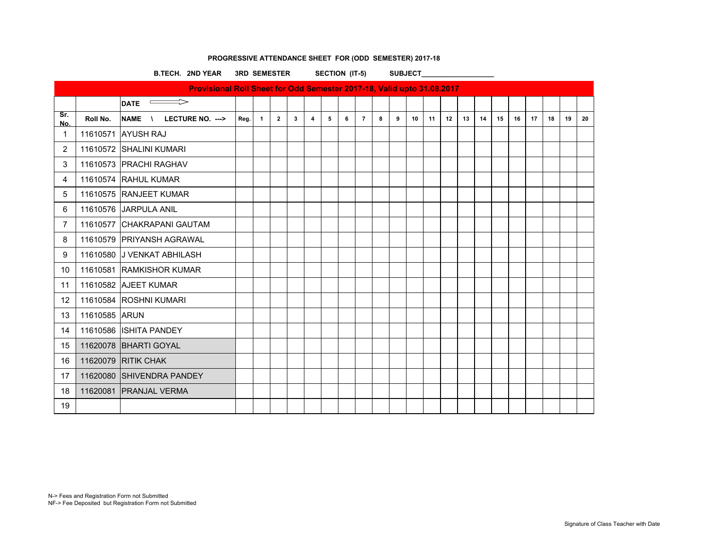|                   | SECTION (IT-5)<br><b>3RD SEMESTER</b><br><b>B.TECH. 2ND YEAR</b> |                                                                        |      |              |                |   |                         |   |   |                | <b>SUBJECT</b> |   |    |    |    |    |    |    |    |    |    |    |    |
|-------------------|------------------------------------------------------------------|------------------------------------------------------------------------|------|--------------|----------------|---|-------------------------|---|---|----------------|----------------|---|----|----|----|----|----|----|----|----|----|----|----|
|                   |                                                                  | Provisional Roll Sheet for Odd Semester 2017-18, Valid upto 31.08.2017 |      |              |                |   |                         |   |   |                |                |   |    |    |    |    |    |    |    |    |    |    |    |
|                   |                                                                  | $\overline{\text{PATE}}$                                               |      |              |                |   |                         |   |   |                |                |   |    |    |    |    |    |    |    |    |    |    |    |
| Sr.<br>No.        | Roll No.                                                         | NAME \<br>LECTURE NO. --->                                             | Reg. | $\mathbf{1}$ | $\overline{2}$ | 3 | $\overline{\mathbf{4}}$ | 5 | 6 | $\overline{7}$ | 8              | 9 | 10 | 11 | 12 | 13 | 14 | 15 | 16 | 17 | 18 | 19 | 20 |
| $\mathbf{1}$      |                                                                  | 11610571 AYUSH RAJ                                                     |      |              |                |   |                         |   |   |                |                |   |    |    |    |    |    |    |    |    |    |    |    |
| $\overline{2}$    |                                                                  | 11610572 SHALINI KUMARI                                                |      |              |                |   |                         |   |   |                |                |   |    |    |    |    |    |    |    |    |    |    |    |
| 3                 |                                                                  | 11610573 PRACHI RAGHAV                                                 |      |              |                |   |                         |   |   |                |                |   |    |    |    |    |    |    |    |    |    |    |    |
| 4                 |                                                                  | 11610574 RAHUL KUMAR                                                   |      |              |                |   |                         |   |   |                |                |   |    |    |    |    |    |    |    |    |    |    |    |
| 5                 |                                                                  | 11610575 RANJEET KUMAR                                                 |      |              |                |   |                         |   |   |                |                |   |    |    |    |    |    |    |    |    |    |    |    |
| 6                 |                                                                  | 11610576 JARPULA ANIL                                                  |      |              |                |   |                         |   |   |                |                |   |    |    |    |    |    |    |    |    |    |    |    |
| 7                 |                                                                  | 11610577 CHAKRAPANI GAUTAM                                             |      |              |                |   |                         |   |   |                |                |   |    |    |    |    |    |    |    |    |    |    |    |
| 8                 |                                                                  | 11610579 PRIYANSH AGRAWAL                                              |      |              |                |   |                         |   |   |                |                |   |    |    |    |    |    |    |    |    |    |    |    |
| 9                 |                                                                  | 11610580 J VENKAT ABHILASH                                             |      |              |                |   |                         |   |   |                |                |   |    |    |    |    |    |    |    |    |    |    |    |
| 10                |                                                                  | 11610581 RAMKISHOR KUMAR                                               |      |              |                |   |                         |   |   |                |                |   |    |    |    |    |    |    |    |    |    |    |    |
| 11                |                                                                  | 11610582 AJEET KUMAR                                                   |      |              |                |   |                         |   |   |                |                |   |    |    |    |    |    |    |    |    |    |    |    |
| $12 \overline{ }$ |                                                                  | 11610584 ROSHNI KUMARI                                                 |      |              |                |   |                         |   |   |                |                |   |    |    |    |    |    |    |    |    |    |    |    |
| 13                | 11610585 ARUN                                                    |                                                                        |      |              |                |   |                         |   |   |                |                |   |    |    |    |    |    |    |    |    |    |    |    |
| 14                |                                                                  | 11610586 ISHITA PANDEY                                                 |      |              |                |   |                         |   |   |                |                |   |    |    |    |    |    |    |    |    |    |    |    |
| 15                |                                                                  | 11620078 BHARTI GOYAL                                                  |      |              |                |   |                         |   |   |                |                |   |    |    |    |    |    |    |    |    |    |    |    |
| 16                |                                                                  | 11620079 RITIK CHAK                                                    |      |              |                |   |                         |   |   |                |                |   |    |    |    |    |    |    |    |    |    |    |    |
| 17                |                                                                  | 11620080 SHIVENDRA PANDEY                                              |      |              |                |   |                         |   |   |                |                |   |    |    |    |    |    |    |    |    |    |    |    |
| 18                |                                                                  | 11620081 PRANJAL VERMA                                                 |      |              |                |   |                         |   |   |                |                |   |    |    |    |    |    |    |    |    |    |    |    |
| 19                |                                                                  |                                                                        |      |              |                |   |                         |   |   |                |                |   |    |    |    |    |    |    |    |    |    |    |    |

# **PROGRESSIVE ATTENDANCE SHEET FOR (ODD SEMESTER) 2017-18**